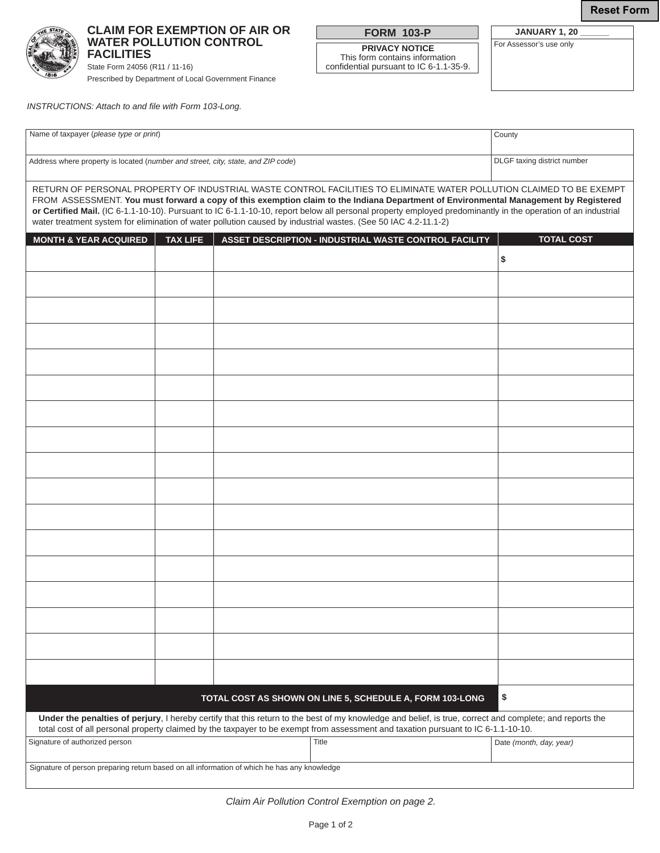**Reset Form**



**CLAIM FOR EXEMPTION OF AIR OR WATER POLLUTION CONTROL FACILITIES**

State Form 24056 (R11 / 11-16) Prescribed by Department of Local Government Finance **FORM 103-P**

**PRIVACY NOTICE** This form contains information confidential pursuant to IC 6-1.1-35-9.

**JANUARY 1, 20 \_\_\_\_\_\_** For Assessor's use only

*INSTRUCTIONS: Attach to and file with Form 103-Long.*

| Name of taxpayer (please type or print)                                          | County                      |
|----------------------------------------------------------------------------------|-----------------------------|
| Address where property is located (number and street, city, state, and ZIP code) | DLGF taxing district number |

RETURN OF PERSONAL PROPERTY OF INDUSTRIAL WASTE CONTROL FACILITIES TO ELIMINATE WATER POLLUTION CLAIMED TO BE EXEMPT FROM ASSESSMENT. **You must forward a copy of this exemption claim to the Indiana Department of Environmental Management by Registered or Certified Mail.** (IC 6-1.1-10-10). Pursuant to IC 6-1.1-10-10, report below all personal property employed predominantly in the operation of an industrial water treatment system for elimination of water pollution caused by industrial wastes. (See 50 IAC 4.2-11.1-2)

| <b>MONTH &amp; YEAR ACQUIRED</b>                                                                                                                                                                                                                                                              | <b>TAX LIFE</b> | ASSET DESCRIPTION - INDUSTRIAL WASTE CONTROL FACILITY | <b>TOTAL COST</b>       |  |  |
|-----------------------------------------------------------------------------------------------------------------------------------------------------------------------------------------------------------------------------------------------------------------------------------------------|-----------------|-------------------------------------------------------|-------------------------|--|--|
|                                                                                                                                                                                                                                                                                               |                 |                                                       | \$                      |  |  |
|                                                                                                                                                                                                                                                                                               |                 |                                                       |                         |  |  |
|                                                                                                                                                                                                                                                                                               |                 |                                                       |                         |  |  |
|                                                                                                                                                                                                                                                                                               |                 |                                                       |                         |  |  |
|                                                                                                                                                                                                                                                                                               |                 |                                                       |                         |  |  |
|                                                                                                                                                                                                                                                                                               |                 |                                                       |                         |  |  |
|                                                                                                                                                                                                                                                                                               |                 |                                                       |                         |  |  |
|                                                                                                                                                                                                                                                                                               |                 |                                                       |                         |  |  |
|                                                                                                                                                                                                                                                                                               |                 |                                                       |                         |  |  |
|                                                                                                                                                                                                                                                                                               |                 |                                                       |                         |  |  |
|                                                                                                                                                                                                                                                                                               |                 |                                                       |                         |  |  |
|                                                                                                                                                                                                                                                                                               |                 |                                                       |                         |  |  |
|                                                                                                                                                                                                                                                                                               |                 |                                                       |                         |  |  |
|                                                                                                                                                                                                                                                                                               |                 |                                                       |                         |  |  |
|                                                                                                                                                                                                                                                                                               |                 |                                                       |                         |  |  |
|                                                                                                                                                                                                                                                                                               |                 |                                                       |                         |  |  |
|                                                                                                                                                                                                                                                                                               |                 |                                                       |                         |  |  |
| \$<br>TOTAL COST AS SHOWN ON LINE 5, SCHEDULE A, FORM 103-LONG                                                                                                                                                                                                                                |                 |                                                       |                         |  |  |
| Under the penalties of perjury, I hereby certify that this return to the best of my knowledge and belief, is true, correct and complete; and reports the<br>total cost of all personal property claimed by the taxpayer to be exempt from assessment and taxation pursuant to IC 6-1.1-10-10. |                 |                                                       |                         |  |  |
| Signature of authorized person                                                                                                                                                                                                                                                                |                 | Title                                                 | Date (month, day, year) |  |  |
| Signature of person preparing return based on all information of which he has any knowledge                                                                                                                                                                                                   |                 |                                                       |                         |  |  |